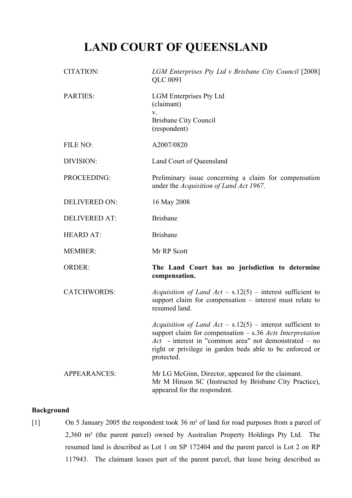# **LAND COURT OF QUEENSLAND**

| <b>CITATION:</b>     | LGM Enterprises Pty Ltd v Brisbane City Council [2008]<br>QLC 0091                                                                                                                                                                                                      |
|----------------------|-------------------------------------------------------------------------------------------------------------------------------------------------------------------------------------------------------------------------------------------------------------------------|
| PARTIES:             | <b>LGM</b> Enterprises Pty Ltd<br>(claimant)<br>V.<br><b>Brisbane City Council</b><br>(respondent)                                                                                                                                                                      |
| FILE NO:             | A2007/0820                                                                                                                                                                                                                                                              |
| DIVISION:            | Land Court of Queensland                                                                                                                                                                                                                                                |
| PROCEEDING:          | Preliminary issue concerning a claim for compensation<br>under the Acquisition of Land Act 1967.                                                                                                                                                                        |
| <b>DELIVERED ON:</b> | 16 May 2008                                                                                                                                                                                                                                                             |
| <b>DELIVERED AT:</b> | <b>Brisbane</b>                                                                                                                                                                                                                                                         |
| <b>HEARD AT:</b>     | <b>Brisbane</b>                                                                                                                                                                                                                                                         |
| <b>MEMBER:</b>       | Mr RP Scott                                                                                                                                                                                                                                                             |
| <b>ORDER:</b>        | The Land Court has no jurisdiction to determine<br>compensation.                                                                                                                                                                                                        |
| <b>CATCHWORDS:</b>   | <i>Acquisition of Land Act</i> – $s.12(5)$ – interest sufficient to<br>support claim for compensation - interest must relate to<br>resumed land.                                                                                                                        |
|                      | <i>Acquisition of Land Act</i> – $s.12(5)$ – interest sufficient to<br>support claim for compensation $- s.36$ Acts Interpretation<br>$Act$ - interest in "common area" not demonstrated – no<br>right or privilege in garden beds able to be enforced or<br>protected. |
| <b>APPEARANCES:</b>  | Mr LG McGinn, Director, appeared for the claimant.<br>Mr M Hinson SC (Instructed by Brisbane City Practice),<br>appeared for the respondent.                                                                                                                            |

### **Background**

[1] On 5 January 2005 the respondent took 36 m² of land for road purposes from a parcel of 2,360 m² (the parent parcel) owned by Australian Property Holdings Pty Ltd. The resumed land is described as Lot 1 on SP 172404 and the parent parcel is Lot 2 on RP 117943. The claimant leases part of the parent parcel, that lease being described as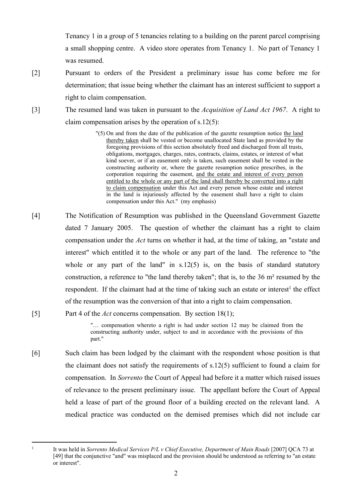Tenancy 1 in a group of 5 tenancies relating to a building on the parent parcel comprising a small shopping centre. A video store operates from Tenancy 1. No part of Tenancy 1 was resumed.

- [2] Pursuant to orders of the President a preliminary issue has come before me for determination; that issue being whether the claimant has an interest sufficient to support a right to claim compensation.
- [3] The resumed land was taken in pursuant to the *Acquisition of Land Act 1967*. A right to claim compensation arises by the operation of s.12(5):

"(5) On and from the date of the publication of the gazette resumption notice the land thereby taken shall be vested or become unallocated State land as provided by the foregoing provisions of this section absolutely freed and discharged from all trusts, obligations, mortgages, charges, rates, contracts, claims, estates, or interest of what kind soever, or if an easement only is taken, such easement shall be vested in the constructing authority or, where the gazette resumption notice prescribes, in the corporation requiring the easement, and the estate and interest of every person entitled to the whole or any part of the land shall thereby be converted into a right to claim compensation under this Act and every person whose estate and interest in the land is injuriously affected by the easement shall have a right to claim compensation under this Act." (my emphasis)

[4] The Notification of Resumption was published in the Queensland Government Gazette dated 7 January 2005. The question of whether the claimant has a right to claim compensation under the *Act* turns on whether it had, at the time of taking, an "estate and interest" which entitled it to the whole or any part of the land. The reference to "the whole or any part of the land" in  $s.12(5)$  is, on the basis of standard statutory construction, a reference to "the land thereby taken"; that is, to the 36 m² resumed by the respondent. If the claimant had at the time of taking such an estate or interest<sup>1</sup> the effect of the resumption was the conversion of that into a right to claim compensation.

### [5] Part 4 of the *Act* concerns compensation. By section 18(1);

"… compensation whereto a right is had under section 12 may be claimed from the constructing authority under, subject to and in accordance with the provisions of this part."

[6] Such claim has been lodged by the claimant with the respondent whose position is that the claimant does not satisfy the requirements of s.12(5) sufficient to found a claim for compensation. In *Sorrento* the Court of Appeal had before it a matter which raised issues of relevance to the present preliminary issue. The appellant before the Court of Appeal held a lease of part of the ground floor of a building erected on the relevant land. A medical practice was conducted on the demised premises which did not include car

1

It was held in *Sorrento Medical Services P/L v Chief Executive, Department of Main Roads* [2007] QCA 73 at [49] that the conjunctive "and" was misplaced and the provision should be understood as referring to "an estate" or interest".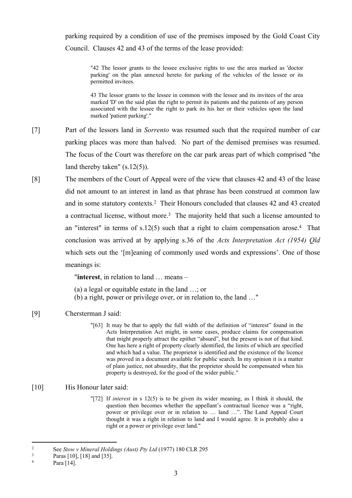parking required by a condition of use of the premises imposed by the Gold Coast City Council. Clauses 42 and 43 of the terms of the lease provided:

"42 The lessor grants to the lessee exclusive rights to use the area marked as 'doctor parking' on the plan annexed hereto for parking of the vehicles of the lessee or its permitted invitees.

43 The lessor grants to the lessee in common with the lessee and its invitees of the area marked 'D' on the said plan the right to permit its patients and the patients of any person associated with the lessee the right to park its his her or their vehicles upon the land marked 'patient parking'."

- [7] Part of the lessors land in *Sorrento* was resumed such that the required number of car parking places was more than halved. No part of the demised premises was resumed. The focus of the Court was therefore on the car park areas part of which comprised "the land thereby taken" (s.12(5)).
- [8] The members of the Court of Appeal were of the view that clauses 42 and 43 of the lease did not amount to an interest in land as that phrase has been construed at common law and in some statutory contexts.<sup>2</sup> Their Honours concluded that clauses 42 and 43 created a contractual license, without more.<sup>3</sup> The majority held that such a license amounted to an "interest" in terms of  $s.12(5)$  such that a right to claim compensation arose.<sup>4</sup> That conclusion was arrived at by applying s.36 of the *Acts Interpretation Act (1954) Qld*  which sets out the '[m]eaning of commonly used words and expressions'. One of those meanings is:

"**interest**, in relation to land … means –

(a) a legal or equitable estate in the land …; or

(b) a right, power or privilege over, or in relation to, the land …"

#### [9] Chersterman J said:

"[63] It may be that to apply the full width of the definition of "interest" found in the Acts Interpretation Act might, in some cases, produce claims for compensation that might properly attract the epithet "absurd", but the present is not of that kind. One has here a right of property clearly identified, the limits of which are specified and which had a value. The proprietor is identified and the existence of the licence was proved in a document available for public search. In my opinion it is a matter of plain justice, not absurdity, that the proprietor should be compensated when his property is destroyed, for the good of the wider public."

## [10] His Honour later said:

"[72] If *interest* in s 12(5) is to be given its wider meaning, as I think it should, the question then becomes whether the appellant's contractual licence was a "right, power or privilege over or in relation to … land …". The Land Appeal Court thought it was a right in relation to land and I would agree. It is probably also a right or a power or privilege over land."

<sup>2</sup> See *Stow v Mineral Holdings (Aust) Pty Ltd* (1977) 180 CLR 295

<sup>3</sup> Paras [10], [18] and [35].

<sup>4</sup> Para [14].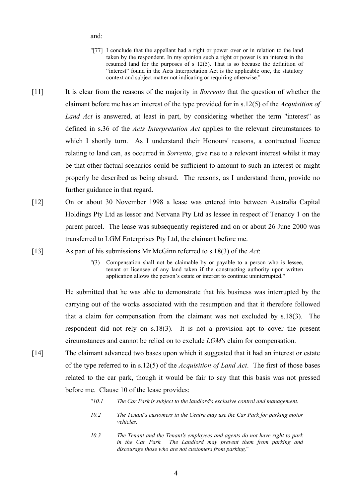and:

- "[77] I conclude that the appellant had a right or power over or in relation to the land taken by the respondent. In my opinion such a right or power is an interest in the resumed land for the purposes of s 12(5). That is so because the definition of "interest" found in the Acts Interpretation Act is the applicable one, the statutory context and subject matter not indicating or requiring otherwise."
- [11] It is clear from the reasons of the majority in *Sorrento* that the question of whether the claimant before me has an interest of the type provided for in s.12(5) of the *Acquisition of Land Act* is answered, at least in part, by considering whether the term "interest" as defined in s.36 of the *Acts Interpretation Act* applies to the relevant circumstances to which I shortly turn. As I understand their Honours' reasons, a contractual licence relating to land can, as occurred in *Sorrento*, give rise to a relevant interest whilst it may be that other factual scenarios could be sufficient to amount to such an interest or might properly be described as being absurd. The reasons, as I understand them, provide no further guidance in that regard.
- [12] On or about 30 November 1998 a lease was entered into between Australia Capital Holdings Pty Ltd as lessor and Nervana Pty Ltd as lessee in respect of Tenancy 1 on the parent parcel. The lease was subsequently registered and on or about 26 June 2000 was transferred to LGM Enterprises Pty Ltd, the claimant before me.
- [13] As part of his submissions Mr McGinn referred to s.18(3) of the *Act*:
	- "(3) Compensation shall not be claimable by or payable to a person who is lessee, tenant or licensee of any land taken if the constructing authority upon written application allows the person's estate or interest to continue uninterrupted."

He submitted that he was able to demonstrate that his business was interrupted by the carrying out of the works associated with the resumption and that it therefore followed that a claim for compensation from the claimant was not excluded by s.18(3). The respondent did not rely on s.18(3). It is not a provision apt to cover the present circumstances and cannot be relied on to exclude *LGM's* claim for compensation.

- [14] The claimant advanced two bases upon which it suggested that it had an interest or estate of the type referred to in s.12(5) of the *Acquisition of Land Act*. The first of those bases related to the car park, though it would be fair to say that this basis was not pressed before me. Clause 10 of the lease provides:
	- "*10.1 The Car Park is subject to the landlord's exclusive control and management.*
	- *10.2 The Tenant's customers in the Centre may use the Car Park for parking motor vehicles.*
	- *10.3 The Tenant and the Tenant's employees and agents do not have right to park in the Car Park. The Landlord may prevent them from parking and discourage those who are not customers from parking.*"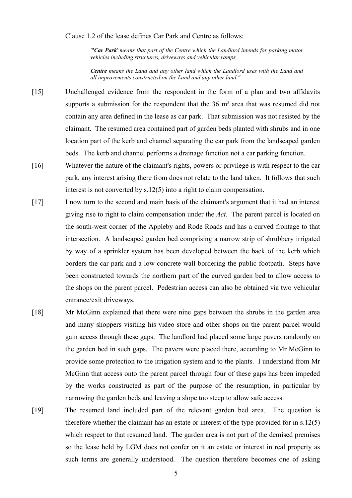#### Clause 1.2 of the lease defines Car Park and Centre as follows:

"'*Car Park*' *means that part of the Centre which the Landlord intends for parking motor vehicles including structures, driveways and vehicular ramps.*

*Centre means the Land and any other land which the Landlord uses with the Land and all improvements constructed on the Land and any other land."*

- [15] Unchallenged evidence from the respondent in the form of a plan and two affidavits supports a submission for the respondent that the 36 m<sup>2</sup> area that was resumed did not contain any area defined in the lease as car park. That submission was not resisted by the claimant. The resumed area contained part of garden beds planted with shrubs and in one location part of the kerb and channel separating the car park from the landscaped garden beds. The kerb and channel performs a drainage function not a car parking function.
- [16] Whatever the nature of the claimant's rights, powers or privilege is with respect to the car park, any interest arising there from does not relate to the land taken. It follows that such interest is not converted by s.12(5) into a right to claim compensation.
- [17] I now turn to the second and main basis of the claimant's argument that it had an interest giving rise to right to claim compensation under the *Act*. The parent parcel is located on the south-west corner of the Appleby and Rode Roads and has a curved frontage to that intersection. A landscaped garden bed comprising a narrow strip of shrubbery irrigated by way of a sprinkler system has been developed between the back of the kerb which borders the car park and a low concrete wall bordering the public footpath. Steps have been constructed towards the northern part of the curved garden bed to allow access to the shops on the parent parcel. Pedestrian access can also be obtained via two vehicular entrance/exit driveways.
- [18] Mr McGinn explained that there were nine gaps between the shrubs in the garden area and many shoppers visiting his video store and other shops on the parent parcel would gain access through these gaps. The landlord had placed some large pavers randomly on the garden bed in such gaps. The pavers were placed there, according to Mr McGinn to provide some protection to the irrigation system and to the plants. I understand from Mr McGinn that access onto the parent parcel through four of these gaps has been impeded by the works constructed as part of the purpose of the resumption, in particular by narrowing the garden beds and leaving a slope too steep to allow safe access.
- [19] The resumed land included part of the relevant garden bed area. The question is therefore whether the claimant has an estate or interest of the type provided for in s.12(5) which respect to that resumed land. The garden area is not part of the demised premises so the lease held by LGM does not confer on it an estate or interest in real property as such terms are generally understood. The question therefore becomes one of asking

5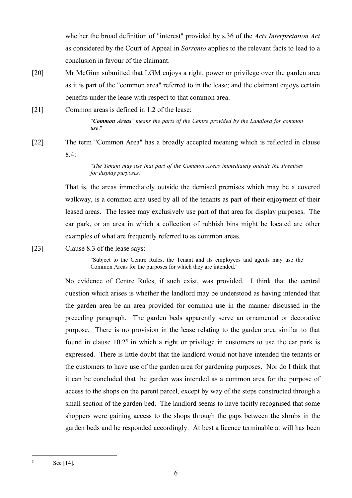whether the broad definition of "interest" provided by s.36 of the *Acts Interpretation Act* as considered by the Court of Appeal in *Sorrento* applies to the relevant facts to lead to a conclusion in favour of the claimant.

[20] Mr McGinn submitted that LGM enjoys a right, power or privilege over the garden area as it is part of the "common area" referred to in the lease; and the claimant enjoys certain benefits under the lease with respect to that common area.

[21] Common areas is defined in 1.2 of the lease:

"*Common Areas*" *means the parts of the Centre provided by the Landlord for common use*."

[22] The term "Common Area" has a broadly accepted meaning which is reflected in clause 8.4:

> "*The Tenant may use that part of the Common Areas immediately outside the Premises for display purposes.*"

That is, the areas immediately outside the demised premises which may be a covered walkway, is a common area used by all of the tenants as part of their enjoyment of their leased areas. The lessee may exclusively use part of that area for display purposes. The car park, or an area in which a collection of rubbish bins might be located are other examples of what are frequently referred to as common areas.

[23] Clause 8.3 of the lease says:

"Subject to the Centre Rules, the Tenant and its employees and agents may use the Common Areas for the purposes for which they are intended."

No evidence of Centre Rules, if such exist, was provided. I think that the central question which arises is whether the landlord may be understood as having intended that the garden area be an area provided for common use in the manner discussed in the preceding paragraph. The garden beds apparently serve an ornamental or decorative purpose. There is no provision in the lease relating to the garden area similar to that found in clause  $10.2<sup>5</sup>$  in which a right or privilege in customers to use the car park is expressed. There is little doubt that the landlord would not have intended the tenants or the customers to have use of the garden area for gardening purposes. Nor do I think that it can be concluded that the garden was intended as a common area for the purpose of access to the shops on the parent parcel, except by way of the steps constructed through a small section of the garden bed. The landlord seems to have tacitly recognised that some shoppers were gaining access to the shops through the gaps between the shrubs in the garden beds and he responded accordingly. At best a licence terminable at will has been

5

See [14].